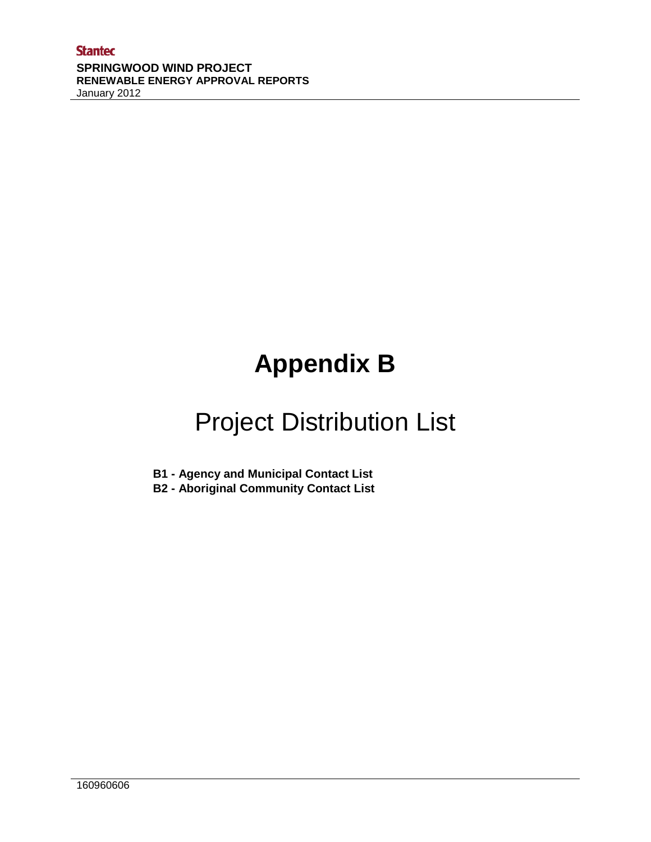# **Appendix B**

## Project Distribution List

**B1 - Agency and Municipal Contact List**

**B2 - Aboriginal Community Contact List**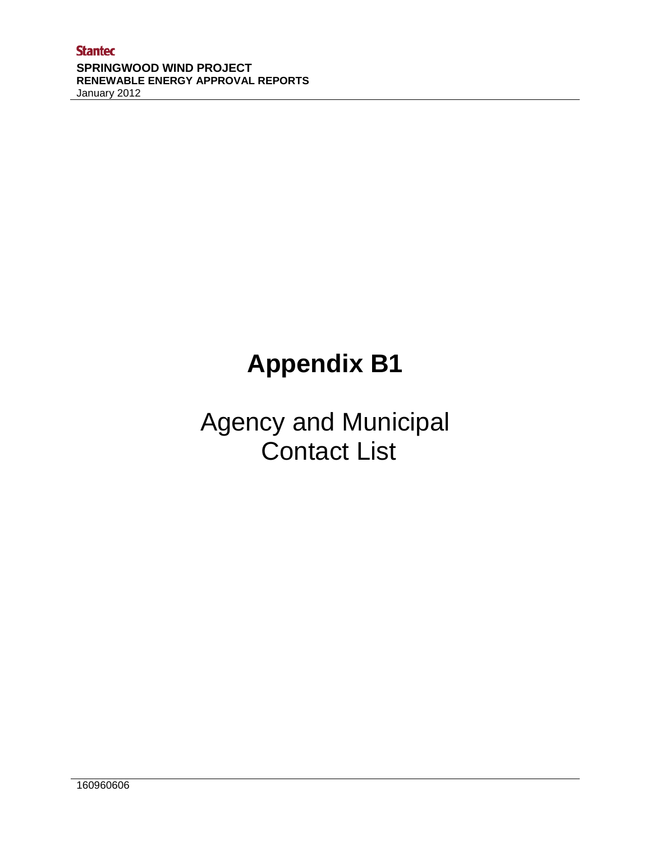## **Appendix B1**

### Agency and Municipal Contact List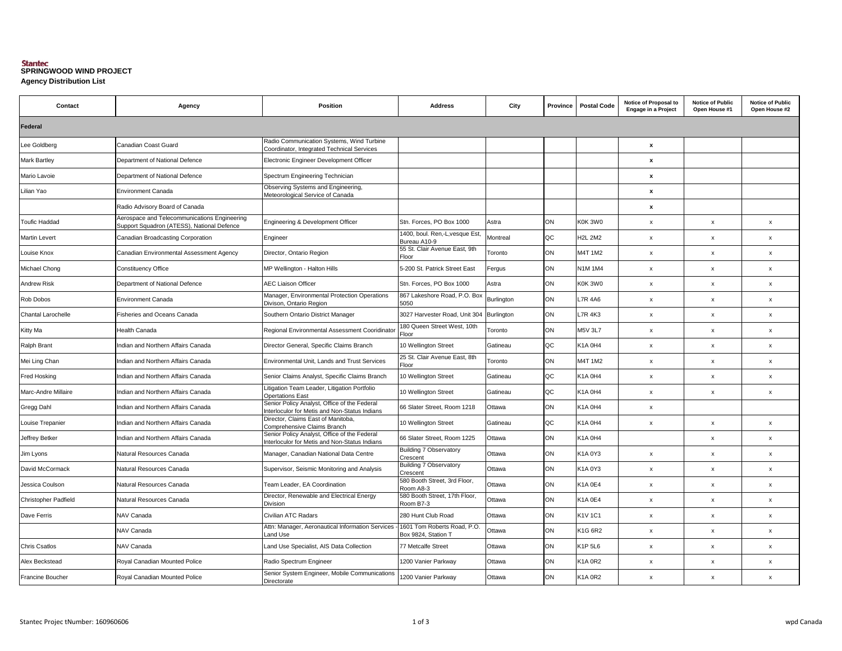### **Agency Distribution List SPRINGWOOD WIND PROJECT**

| Contact                 | Agency                                                                                     | <b>Position</b>                                                                               | <b>Address</b>                                     | City       | Province | <b>Postal Code</b> | Notice of Proposal to<br><b>Engage in a Project</b> | <b>Notice of Public</b><br>Open House #1 | <b>Notice of Public</b><br>Open House #2 |  |
|-------------------------|--------------------------------------------------------------------------------------------|-----------------------------------------------------------------------------------------------|----------------------------------------------------|------------|----------|--------------------|-----------------------------------------------------|------------------------------------------|------------------------------------------|--|
| Federal                 |                                                                                            |                                                                                               |                                                    |            |          |                    |                                                     |                                          |                                          |  |
| Lee Goldberg            | Canadian Coast Guard                                                                       | Radio Communication Systems, Wind Turbine<br>Coordinator, Integrated Technical Services       |                                                    |            |          |                    | $\pmb{\chi}$                                        |                                          |                                          |  |
| <b>Mark Bartley</b>     | Department of National Defence                                                             | Electronic Engineer Development Officer                                                       |                                                    |            |          |                    | $\pmb{\mathsf{x}}$                                  |                                          |                                          |  |
| Mario Lavoie            | Department of National Defence                                                             | Spectrum Engineering Technician                                                               |                                                    |            |          |                    | $\pmb{\mathsf{x}}$                                  |                                          |                                          |  |
| Lilian Yao              | Environment Canada                                                                         | Observing Systems and Engineering,<br>Meteorological Service of Canada                        |                                                    |            |          |                    | $\pmb{\chi}$                                        |                                          |                                          |  |
|                         | Radio Advisory Board of Canada                                                             |                                                                                               |                                                    |            |          |                    | $\boldsymbol{\mathsf{x}}$                           |                                          |                                          |  |
| <b>Toufic Haddad</b>    | Aerospace and Telecommunications Engineering<br>Support Squadron (ATESS), National Defence | Engineering & Development Officer                                                             | Stn. Forces, PO Box 1000                           | Astra      | ON       | K0K 3W0            | $\boldsymbol{\mathsf{x}}$                           | x                                        | x                                        |  |
| <b>Martin Levert</b>    | Canadian Broadcasting Corporation                                                          | Engineer                                                                                      | 1400, boul. Ren,-L,vesque Est,<br>Bureau A10-9     | Montreal   | QC       | <b>H2L 2M2</b>     | $\pmb{\mathsf{x}}$                                  | $\pmb{\mathsf{x}}$                       | $\pmb{\chi}$                             |  |
| Louise Knox             | Canadian Environmental Assessment Agency                                                   | Director, Ontario Region                                                                      | 55 St. Clair Avenue East, 9th<br>Floor             | Toronto    | ON       | M4T 1M2            | $\pmb{\mathsf{x}}$                                  | $\pmb{\mathsf{x}}$                       | $\pmb{\chi}$                             |  |
| Michael Chong           | <b>Constituency Office</b>                                                                 | MP Wellington - Halton Hills                                                                  | 5-200 St. Patrick Street East                      | Fergus     | ON       | <b>N1M1M4</b>      | $\mathsf X$                                         | $\pmb{\mathsf{x}}$                       | $\pmb{\mathsf{x}}$                       |  |
| <b>Andrew Risk</b>      | Department of National Defence                                                             | <b>AEC Liaison Officer</b>                                                                    | Stn. Forces, PO Box 1000                           | Astra      | ON       | K0K 3W0            | $\mathsf X$                                         | $\boldsymbol{x}$                         | $\mathsf{x}$                             |  |
| Rob Dobos               | <b>Environment Canada</b>                                                                  | Manager, Environmental Protection Operations<br>Divison, Ontario Region                       | 867 Lakeshore Road, P.O. Box<br>5050               | Burlington | ON       | L7R 4A6            | $\mathsf X$                                         | $\pmb{\mathsf{x}}$                       | x                                        |  |
| Chantal Larochelle      | Fisheries and Oceans Canada                                                                | Southern Ontario District Manager                                                             | 3027 Harvester Road, Unit 304                      | Burlington | ON       | L7R 4K3            | $\pmb{\mathsf{x}}$                                  | х                                        | $\pmb{\chi}$                             |  |
| Kitty Ma                | Health Canada                                                                              | Regional Environmental Assessment Cooridinator                                                | 180 Queen Street West, 10th<br>Floor               | Toronto    | ON       | <b>M5V 3L7</b>     | $\pmb{\mathsf{x}}$                                  | $\pmb{\mathsf{x}}$                       | $\pmb{\mathsf{x}}$                       |  |
| Ralph Brant             | Indian and Northern Affairs Canada                                                         | Director General, Specific Claims Branch                                                      | 10 Wellington Street                               | Gatineau   | QC       | K1A 0H4            | $\boldsymbol{\mathsf{x}}$                           | x                                        | $\pmb{\chi}$                             |  |
| Mei Ling Chan           | Indian and Northern Affairs Canada                                                         | Environmental Unit, Lands and Trust Services                                                  | 25 St. Clair Avenue East, 8th<br>Floor             | Toronto    | ON       | M4T 1M2            | $\mathsf X$                                         | $\pmb{\chi}$                             | $\mathsf{x}$                             |  |
| Fred Hosking            | Indian and Northern Affairs Canada                                                         | Senior Claims Analyst, Specific Claims Branch                                                 | 10 Wellington Street                               | Gatineau   | QC       | K1A 0H4            | $\mathsf X$                                         | x                                        | $\pmb{\chi}$                             |  |
| Marc-Andre Millaire     | Indian and Northern Affairs Canada                                                         | itigation Team Leader, Litigation Portfolio<br><b>Opertations East</b>                        | 10 Wellington Street                               | Gatineau   | QC       | K1A 0H4            | $\pmb{\mathsf{x}}$                                  | $\pmb{\mathsf{x}}$                       | $\pmb{\chi}$                             |  |
| Gregg Dahl              | Indian and Northern Affairs Canada                                                         | Senior Policy Analyst, Office of the Federal<br>nterloculor for Metis and Non-Status Indians  | 66 Slater Street, Room 1218                        | Ottawa     | ON       | K1A 0H4            | $\pmb{\mathsf{x}}$                                  |                                          |                                          |  |
| Louise Trepanier        | Indian and Northern Affairs Canada                                                         | Director, Claims East of Manitoba,<br>Comprehensive Claims Branch                             | 10 Wellington Street                               | Gatineau   | QC       | K1A 0H4            | $\mathsf X$                                         | $\pmb{\mathsf{x}}$                       | $\mathsf{x}$                             |  |
| Jeffrey Betker          | Indian and Northern Affairs Canada                                                         | Senior Policy Analyst, Office of the Federal<br>Interloculor for Metis and Non-Status Indians | 66 Slater Street, Room 1225                        | Ottawa     | ON       | K1A 0H4            |                                                     | х                                        | $\pmb{\chi}$                             |  |
| Jim Lyons               | Natural Resources Canada                                                                   | Manager, Canadian National Data Centre                                                        | <b>Building 7 Observatory</b><br>Crescent          | Ottawa     | ON       | K1A 0Y3            | $\mathsf X$                                         | x                                        | $\mathsf{x}$                             |  |
| David McCormack         | Natural Resources Canada                                                                   | Supervisor, Seismic Monitoring and Analysis                                                   | <b>Building 7 Observatory</b><br>Crescent          | Ottawa     | ON       | K1A 0Y3            | $\pmb{\mathsf{x}}$                                  | $\pmb{\mathsf{x}}$                       | $\mathsf x$                              |  |
| Jessica Coulson         | Natural Resources Canada                                                                   | Team Leader, EA Coordination                                                                  | 580 Booth Street, 3rd Floor,<br>Room A8-3          | Ottawa     | ON       | <b>K1A 0E4</b>     | $\pmb{\mathsf{x}}$                                  | $\pmb{\mathsf{x}}$                       | $\pmb{\mathsf{x}}$                       |  |
| Christopher Padfield    | Natural Resources Canada                                                                   | Director, Renewable and Electrical Energy<br>Division                                         | 580 Booth Street, 17th Floor,<br>Room B7-3         | Ottawa     | ON       | K1A 0E4            | $\boldsymbol{\mathsf{x}}$                           | X                                        | $\boldsymbol{\mathsf{x}}$                |  |
| Dave Ferris             | NAV Canada                                                                                 | Civilian ATC Radars                                                                           | 280 Hunt Club Road                                 | Ottawa     | ON       | K1V 1C1            | $\pmb{\mathsf{x}}$                                  | $\pmb{\mathsf{x}}$                       | $\pmb{\chi}$                             |  |
|                         | NAV Canada                                                                                 | Attn: Manager, Aeronautical Information Services<br>and Use.                                  | 1601 Tom Roberts Road, P.O.<br>Box 9824, Station T | Ottawa     | ON       | K1G 6R2            | $\pmb{\mathsf{x}}$                                  | $\pmb{\mathsf{x}}$                       | $\pmb{\chi}$                             |  |
| <b>Chris Csatlos</b>    | NAV Canada                                                                                 | and Use Specialist, AIS Data Collection                                                       | 77 Metcalfe Street                                 | Ottawa     | ON       | K1P 5L6            | $\pmb{\mathsf{x}}$                                  | $\pmb{\mathsf{x}}$                       | $\pmb{\mathsf{x}}$                       |  |
| Alex Beckstead          | Royal Canadian Mounted Police                                                              | Radio Spectrum Engineer                                                                       | 1200 Vanier Parkway                                | Ottawa     | ON       | K1A 0R2            | $\pmb{\mathsf{x}}$                                  | x                                        | $\pmb{\mathsf{x}}$                       |  |
| <b>Francine Boucher</b> | Royal Canadian Mounted Police                                                              | Senior System Engineer, Mobile Communications<br>Directorate                                  | 1200 Vanier Parkway                                | Ottawa     | ON       | <b>K1A 0R2</b>     | $\boldsymbol{\mathsf{x}}$                           | X                                        | $\mathsf{x}$                             |  |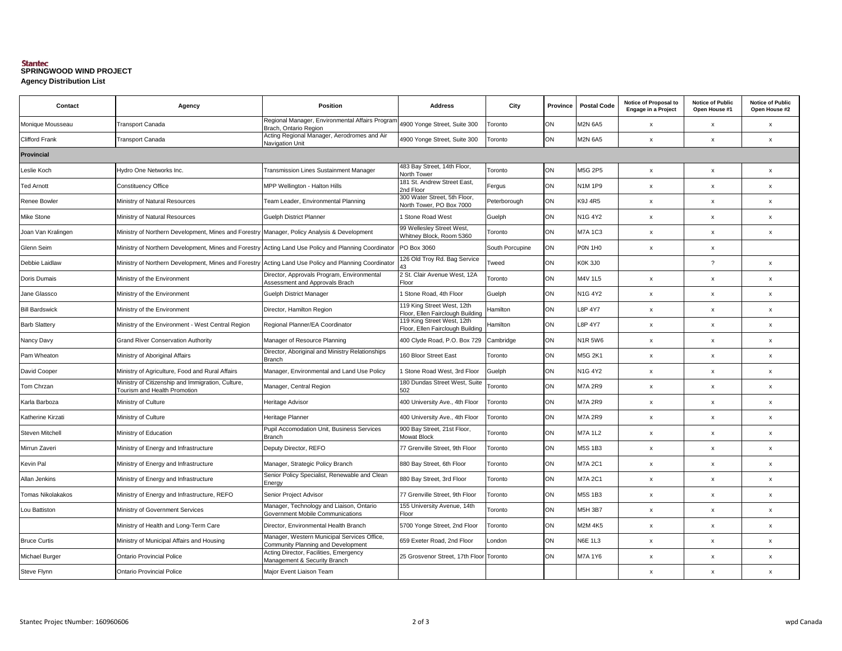### **Agency Distribution List SPRINGWOOD WIND PROJECT**

| Contact               | Agency                                                                                               | <b>Position</b>                                                                   | <b>Address</b>                                                 | City            | Province | <b>Postal Code</b> | Notice of Proposal to<br><b>Engage in a Project</b> | <b>Notice of Public</b><br>Open House #1 | <b>Notice of Public</b><br>Open House #2 |  |
|-----------------------|------------------------------------------------------------------------------------------------------|-----------------------------------------------------------------------------------|----------------------------------------------------------------|-----------------|----------|--------------------|-----------------------------------------------------|------------------------------------------|------------------------------------------|--|
| Monique Mousseau      | <b>Transport Canada</b>                                                                              | Regional Manager, Environmental Affairs Program<br>Brach, Ontario Region          | 4900 Yonge Street, Suite 300                                   | Toronto         | ON       | <b>M2N 6A5</b>     | x                                                   | $\mathsf x$                              | $\mathsf{x}$                             |  |
| <b>Clifford Frank</b> | Transport Canada                                                                                     | Acting Regional Manager, Aerodromes and Air<br>Navigation Unit                    | 4900 Yonge Street, Suite 300                                   | Toronto         | ON       | <b>M2N 6A5</b>     | x                                                   | $\mathsf x$                              | $\pmb{\chi}$                             |  |
| <b>Provincial</b>     |                                                                                                      |                                                                                   |                                                                |                 |          |                    |                                                     |                                          |                                          |  |
| Leslie Koch           | Hydro One Networks Inc.                                                                              | <b>Transmission Lines Sustainment Manager</b>                                     | 483 Bay Street, 14th Floor,<br>North Tower                     | Toronto         | ON       | <b>M5G 2P5</b>     | $\mathsf{x}$                                        | $\mathsf X$                              | $\pmb{\chi}$                             |  |
| <b>Ted Arnott</b>     | <b>Constituency Office</b>                                                                           | MPP Wellington - Halton Hills                                                     | 181 St. Andrew Street East,<br>2nd Floor                       | Fergus          | ON       | <b>N1M1P9</b>      | $\pmb{\mathsf{x}}$                                  | $\pmb{\times}$                           | $\mathbf{x}$                             |  |
| Renee Bowler          | Ministry of Natural Resources                                                                        | Team Leader, Environmental Planning                                               | 300 Water Street, 5th Floor,<br>North Tower, PO Box 7000       | Peterborough    | ON       | <b>K9J 4R5</b>     | $\pmb{\chi}$                                        | $\pmb{\times}$                           | $\pmb{\chi}$                             |  |
| Mike Stone            | Ministry of Natural Resources                                                                        | <b>Guelph District Planner</b>                                                    | Stone Road West                                                | Guelph          | ON       | <b>N1G 4Y2</b>     | $\pmb{\mathsf{x}}$                                  | $\pmb{\mathsf{x}}$                       | $\pmb{\mathsf{x}}$                       |  |
| Joan Van Kralingen    | Ministry of Northern Development, Mines and Forestry Manager, Policy Analysis & Development          |                                                                                   | 99 Wellesley Street West,<br>Whitney Block, Room 5360          | Toronto         | ON       | <b>M7A1C3</b>      | $\pmb{\chi}$                                        | $\pmb{\times}$                           | $\mathsf{x}$                             |  |
| Glenn Seim            | Ministry of Northern Development, Mines and Forestry Acting Land Use Policy and Planning Coordinator |                                                                                   | PO Box 3060                                                    | South Porcupine | ON       | PON 1HO            | $\pmb{\chi}$                                        | $\pmb{\times}$                           |                                          |  |
| Debbie Laidlaw        | Ministry of Northern Development, Mines and Forestry Acting Land Use Policy and Planning Coordinator |                                                                                   | 126 Old Troy Rd. Bag Service                                   | Tweed           | ON       | <b>K0K3J0</b>      |                                                     | $\overline{\mathcal{L}}$                 | $\mathsf{x}$                             |  |
| Doris Dumais          | Ministry of the Environment                                                                          | Director, Approvals Program, Environmental<br>Assessment and Approvals Brach      | 2 St. Clair Avenue West, 12A<br>Floor                          | Toronto         | ON       | M4V 1L5            | $\pmb{\mathsf{x}}$                                  | $\pmb{\times}$                           | $\pmb{\chi}$                             |  |
| Jane Glassco          | Ministry of the Environment                                                                          | Guelph District Manager                                                           | Stone Road, 4th Floor                                          | Guelph          | ON       | <b>N1G 4Y2</b>     | $\pmb{\mathsf{x}}$                                  | $\pmb{\mathsf{x}}$                       | $\mathsf X$                              |  |
| <b>Bill Bardswick</b> | Ministry of the Environment                                                                          | Director, Hamilton Region                                                         | 119 King Street West, 12th<br>Floor, Ellen Fairclough Building | Hamilton        | ON       | <b>L8P 4Y7</b>     | $\pmb{\chi}$                                        | $\pmb{\times}$                           | $\mathsf{x}$                             |  |
| <b>Barb Slattery</b>  | Ministry of the Environment - West Central Region                                                    | Regional Planner/EA Coordinator                                                   | 119 King Street West, 12th<br>Floor, Ellen Fairclough Building | Hamilton        | ON       | <b>L8P 4Y7</b>     | $\pmb{\mathsf{x}}$                                  | $\mathsf X$                              | $\pmb{\chi}$                             |  |
| Nancy Davy            | <b>Grand River Conservation Authority</b>                                                            | Manager of Resource Planning                                                      | 400 Clyde Road, P.O. Box 729                                   | Cambridge       | ON       | <b>N1R 5W6</b>     | $\pmb{\chi}$                                        | $\pmb{\times}$                           | $\pmb{\chi}$                             |  |
| Pam Wheaton           | Ministry of Aboriginal Affairs                                                                       | Director, Aboriginal and Ministry Relationships<br>Branch                         | 160 Bloor Street East                                          | Toronto         | ON       | M5G 2K1            | x                                                   | $\pmb{\times}$                           | x                                        |  |
| David Cooper          | Ministry of Agriculture, Food and Rural Affairs                                                      | Manager, Environmental and Land Use Policy                                        | Stone Road West, 3rd Floor                                     | Guelph          | ON       | <b>N1G 4Y2</b>     | $\pmb{\mathsf{x}}$                                  | $\pmb{\chi}$                             | $\mathsf X$                              |  |
| Tom Chrzan            | Ministry of Citizenship and Immigration, Culture,<br><b>Tourism and Health Promotion</b>             | Manager, Central Region                                                           | 180 Dundas Street West, Suite<br>502                           | Toronto         | ON       | <b>M7A 2R9</b>     | x                                                   | $\mathsf X$                              | $\mathsf{x}$                             |  |
| Karla Barboza         | Ministry of Culture                                                                                  | Heritage Advisor                                                                  | 400 University Ave., 4th Floor                                 | Toronto         | ON       | <b>M7A 2R9</b>     | $\pmb{\mathsf{x}}$                                  | $\pmb{\mathsf{x}}$                       | $\pmb{\chi}$                             |  |
| Katherine Kirzati     | Ministry of Culture                                                                                  | Heritage Planner                                                                  | 400 University Ave., 4th Floor                                 | Toronto         | ON       | <b>M7A 2R9</b>     | $\pmb{\mathsf{x}}$                                  | $\mathsf X$                              | $\pmb{\mathsf{x}}$                       |  |
| Steven Mitchell       | Ministry of Education                                                                                | Pupil Accomodation Unit, Business Services<br><b>Branch</b>                       | 900 Bay Street, 21st Floor,<br><b>Mowat Block</b>              | Toronto         | ON       | <b>M7A 1L2</b>     | x                                                   | $\mathsf x$                              | x                                        |  |
| Mirrun Zaveri         | Ministry of Energy and Infrastructure                                                                | Deputy Director, REFO                                                             | 77 Grenville Street, 9th Floor                                 | Toronto         | ON       | <b>M5S 1B3</b>     | $\pmb{\mathsf{x}}$                                  | $\mathsf X$                              | x                                        |  |
| Kevin Pal             | Ministry of Energy and Infrastructure                                                                | Manager, Strategic Policy Branch                                                  | 880 Bay Street, 6th Floor                                      | Toronto         | ON       | <b>M7A 2C1</b>     | x                                                   | $\pmb{\times}$                           | $\boldsymbol{\mathsf{x}}$                |  |
| Allan Jenkins         | Ministry of Energy and Infrastructure                                                                | Senior Policy Specialist, Renewable and Clean<br>Energy                           | 880 Bay Street, 3rd Floor                                      | Toronto         | ON       | <b>M7A 2C1</b>     | $\mathsf x$                                         | $\pmb{\mathsf{x}}$                       | $\boldsymbol{\mathsf{x}}$                |  |
| Tomas Nikolakakos     | Ministry of Energy and Infrastructure, REFO                                                          | Senior Project Advisor                                                            | 77 Grenville Street, 9th Floor                                 | Toronto         | ON       | <b>M5S 1B3</b>     | $\pmb{\chi}$                                        | $\pmb{\times}$                           | $\mathsf{x}$                             |  |
| Lou Battiston         | Ministry of Government Services                                                                      | Manager, Technology and Liaison, Ontario<br>Government Mobile Communications      | 155 University Avenue, 14th<br>Floor                           | Toronto         | ON       | <b>M5H 3B7</b>     | $\pmb{\mathsf{x}}$                                  | $\pmb{\mathsf{x}}$                       | $\boldsymbol{\mathsf{x}}$                |  |
|                       | Ministry of Health and Long-Term Care                                                                | Director, Environmental Health Branch                                             | 5700 Yonge Street, 2nd Floor                                   | Toronto         | ON       | <b>M2M 4K5</b>     | $\pmb{\mathsf{x}}$                                  | $\pmb{\chi}$                             | $\pmb{\mathsf{x}}$                       |  |
| <b>Bruce Curtis</b>   | Ministry of Municipal Affairs and Housing                                                            | Manager, Western Municipal Services Office,<br>Community Planning and Development | 659 Exeter Road, 2nd Floor                                     | London          | ON       | <b>N6E 1L3</b>     | x                                                   | $\pmb{\times}$                           | $\boldsymbol{\mathsf{x}}$                |  |
| <b>Michael Burger</b> | <b>Ontario Provincial Police</b>                                                                     | Acting Director, Facilities, Emergency<br>Management & Security Branch            | 25 Grosvenor Street, 17th Floor                                | Toronto         | ON       | <b>M7A 1Y6</b>     | $\pmb{\chi}$                                        | $\pmb{\times}$                           | x                                        |  |
| Steve Flynn           | <b>Ontario Provincial Police</b>                                                                     | Major Event Liaison Team                                                          |                                                                |                 |          |                    | $\mathsf{x}$                                        | $\boldsymbol{\mathsf{x}}$                | $\mathsf{x}$                             |  |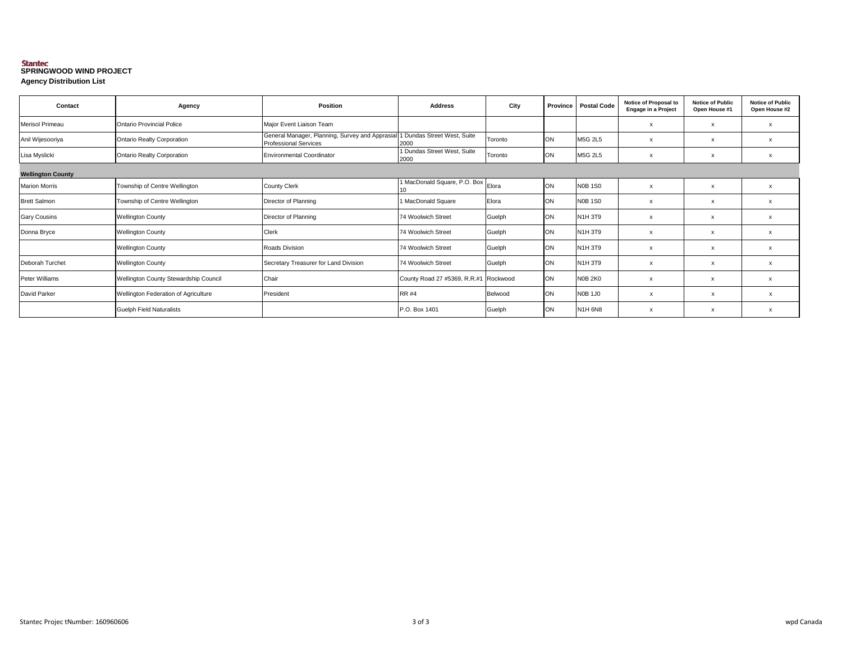### **Agency Distribution List SPRINGWOOD WIND PROJECT**

| Contact                  | Agency                                | Position                                                                        | <b>Address</b>                        | City    | Province  | <b>Postal Code</b> | Notice of Proposal to<br><b>Engage in a Project</b> | <b>Notice of Public</b><br>Open House #1 | <b>Notice of Public</b><br>Open House #2 |  |
|--------------------------|---------------------------------------|---------------------------------------------------------------------------------|---------------------------------------|---------|-----------|--------------------|-----------------------------------------------------|------------------------------------------|------------------------------------------|--|
| Merisol Primeau          | Ontario Provincial Police             | Major Event Liaison Team                                                        |                                       |         |           |                    | $\boldsymbol{\mathsf{x}}$                           | $\boldsymbol{\mathsf{x}}$                |                                          |  |
| Anil Wijesooriya         | <b>Ontario Realty Corporation</b>     | General Manager, Planning, Survey and Apprasial<br><b>Professional Services</b> | Dundas Street West, Suite<br>2000     | Toronto | ON        | M5G 2L5            | $\boldsymbol{\mathsf{x}}$                           | $\boldsymbol{\mathsf{x}}$                |                                          |  |
| Lisa Myslicki            | <b>Ontario Realty Corporation</b>     | <b>Environmental Coordinator</b>                                                | Dundas Street West, Suite<br>2000     | Toronto | ON        | M5G 2L5            | X                                                   | $\boldsymbol{\mathsf{x}}$                | X                                        |  |
| <b>Wellington County</b> |                                       |                                                                                 |                                       |         |           |                    |                                                     |                                          |                                          |  |
| <b>Marion Morris</b>     | Township of Centre Wellington         | <b>County Clerk</b>                                                             | MacDonald Square, P.O. Box            | Elora   | ON        | N0B 1S0            | $\boldsymbol{\mathsf{x}}$                           | $\boldsymbol{\mathsf{x}}$                | $\boldsymbol{\mathsf{x}}$                |  |
| <b>Brett Salmon</b>      | Township of Centre Wellington         | Director of Planning                                                            | 1 MacDonald Square                    | Elora   | <b>ON</b> | N0B 1S0            | $\boldsymbol{\mathsf{x}}$                           | $\boldsymbol{\mathsf{x}}$                |                                          |  |
| <b>Gary Cousins</b>      | <b>Wellington County</b>              | Director of Planning                                                            | 74 Woolwich Street                    | Guelph  | ON        | N1H 3T9            | $\boldsymbol{\mathsf{x}}$                           | X                                        |                                          |  |
| Donna Bryce              | <b>Wellington County</b>              | Clerk                                                                           | <b>74 Woolwich Street</b>             | Guelph  | ON        | N1H 3T9            | $\boldsymbol{\mathsf{x}}$                           | X                                        |                                          |  |
|                          | <b>Wellington County</b>              | Roads Division                                                                  | <b>74 Woolwich Street</b>             | Guelph  | ON        | N1H 3T9            | $\boldsymbol{\mathsf{x}}$                           | $\boldsymbol{\mathsf{x}}$                |                                          |  |
| Deborah Turchet          | <b>Wellington County</b>              | Secretary Treasurer for Land Division                                           | 74 Woolwich Street                    | Guelph  | ON        | N1H 3T9            | X                                                   | $\boldsymbol{\mathsf{x}}$                | $\boldsymbol{\mathsf{x}}$                |  |
| Peter Williams           | Wellington County Stewardship Council | Chair                                                                           | County Road 27 #5369, R.R.#1 Rockwood |         | ON        | NOB 2KO            | $\boldsymbol{\mathsf{x}}$                           | $\boldsymbol{\mathsf{x}}$                | $\boldsymbol{\mathsf{x}}$                |  |
| David Parker             | Wellington Federation of Agriculture  | President                                                                       | <b>RR #4</b>                          | Belwood | ON        | N0B 1J0            | х                                                   | x                                        | х                                        |  |
|                          | <b>Guelph Field Naturalists</b>       |                                                                                 | P.O. Box 1401                         | Guelph  | ON        | N1H 6N8            | X                                                   | $\boldsymbol{\mathsf{x}}$                |                                          |  |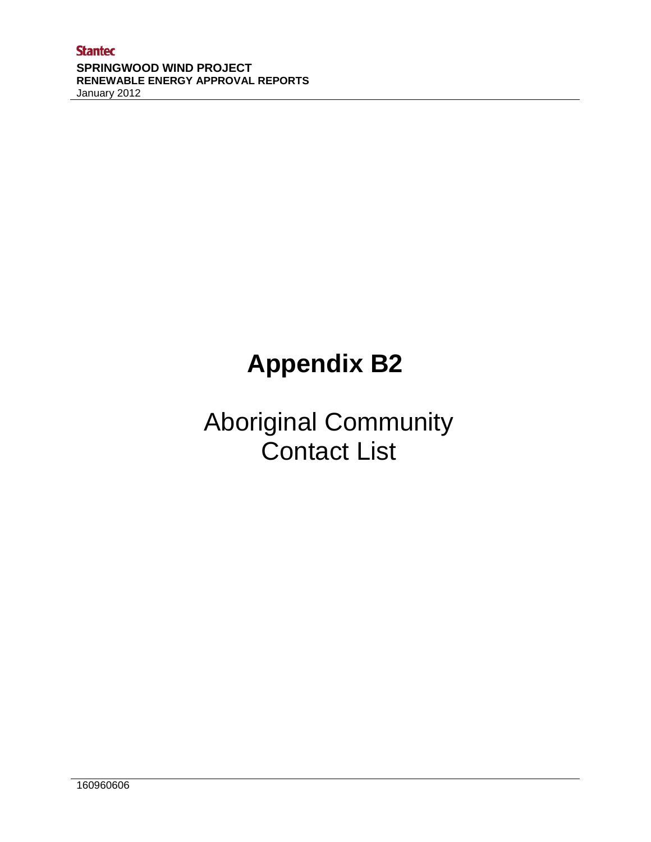## **Appendix B2**

### Aboriginal Community Contact List